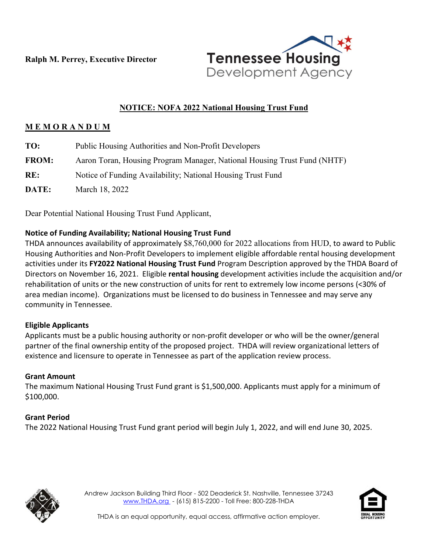**Ralph M. Perrey, Executive Director**



# **NOTICE: NOFA 2022 National Housing Trust Fund**

### **M E M O R A N D U M**

| TO:          | Public Housing Authorities and Non-Profit Developers                     |
|--------------|--------------------------------------------------------------------------|
| <b>FROM:</b> | Aaron Toran, Housing Program Manager, National Housing Trust Fund (NHTF) |
| RE:          | Notice of Funding Availability; National Housing Trust Fund              |
| DATE:        | March 18, 2022                                                           |

Dear Potential National Housing Trust Fund Applicant,

#### **Notice of Funding Availability; National Housing Trust Fund**

THDA announces availability of approximately \$8,760,000 for 2022 allocations from HUD, to award to Public Housing Authorities and Non-Profit Developers to implement eligible affordable rental housing development activities under its **FY2022 National Housing Trust Fund** Program Description approved by the THDA Board of Directors on November 16, 2021. Eligible **rental housing** development activities include the acquisition and/or rehabilitation of units or the new construction of units for rent to extremely low income persons (<30% of area median income). Organizations must be licensed to do business in Tennessee and may serve any community in Tennessee.

#### **Eligible Applicants**

Applicants must be a public housing authority or non-profit developer or who will be the owner/general partner of the final ownership entity of the proposed project. THDA will review organizational letters of existence and licensure to operate in Tennessee as part of the application review process.

#### **Grant Amount**

The maximum National Housing Trust Fund grant is \$1,500,000. Applicants must apply for a minimum of \$100,000.

#### **Grant Period**

The 2022 National Housing Trust Fund grant period will begin July 1, 2022, and will end June 30, 2025.



Andrew Jackson Building Third Floor - 502 Deaderick St. Nashville, Tennessee 37243 [www.THDA.org](http://www.thda.org/) - (615) 815-2200 - Toll Free: 800-228-THDA



THDA is an equal opportunity, equal access, affirmative action employer.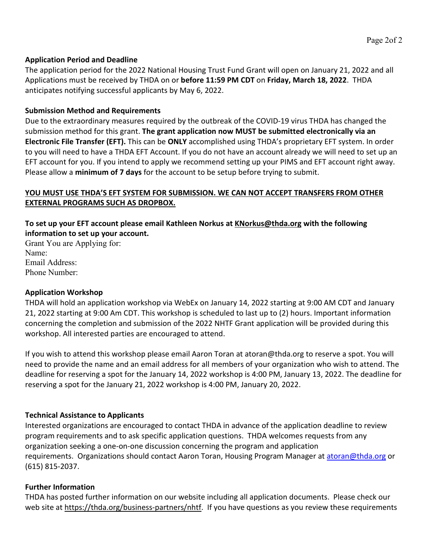#### **Application Period and Deadline**

The application period for the 2022 National Housing Trust Fund Grant will open on January 21, 2022 and all Applications must be received by THDA on or **before 11:59 PM CDT** on **Friday, March 18, 2022**. THDA anticipates notifying successful applicants by May 6, 2022.

#### **Submission Method and Requirements**

Due to the extraordinary measures required by the outbreak of the COVID-19 virus THDA has changed the submission method for this grant. **The grant application now MUST be submitted electronically via an Electronic File Transfer (EFT).** This can be **ONLY** accomplished using THDA's proprietary EFT system. In order to you will need to have a THDA EFT Account. If you do not have an account already we will need to set up an EFT account for you. If you intend to apply we recommend setting up your PIMS and EFT account right away. Please allow a **minimum of 7 days** for the account to be setup before trying to submit.

### **YOU MUST USE THDA'S EFT SYSTEM FOR SUBMISSION. WE CAN NOT ACCEPT TRANSFERS FROM OTHER EXTERNAL PROGRAMS SUCH AS DROPBOX.**

### **To set up your EFT account please email Kathleen Norkus a[t KNorkus@thda.org](mailto:KNorkus@thda.org) with the following information to set up your account.**

Grant You are Applying for: Name: Email Address: Phone Number:

#### **Application Workshop**

THDA will hold an application workshop via WebEx on January 14, 2022 starting at 9:00 AM CDT and January 21, 2022 starting at 9:00 Am CDT. This workshop is scheduled to last up to (2) hours. Important information concerning the completion and submission of the 2022 NHTF Grant application will be provided during this workshop. All interested parties are encouraged to attend.

If you wish to attend this workshop please email Aaron Toran at atoran@thda.org to reserve a spot. You will need to provide the name and an email address for all members of your organization who wish to attend. The deadline for reserving a spot for the January 14, 2022 workshop is 4:00 PM, January 13, 2022. The deadline for reserving a spot for the January 21, 2022 workshop is 4:00 PM, January 20, 2022.

## **Technical Assistance to Applicants**

Interested organizations are encouraged to contact THDA in advance of the application deadline to review program requirements and to ask specific application questions. THDA welcomes requests from any organization seeking a one-on-one discussion concerning the program and application requirements. Organizations should contact Aaron Toran, Housing Program Manager at [atoran@thda.org](mailto:atoran@thda.org) or (615) 815-2037.

#### **Further Information**

THDA has posted further information on our website including all application documents. Please check our web site at [https://thda.org/business-partners/nhtf.](https://thda.org/business-partners/nhtf) If you have questions as you review these requirements